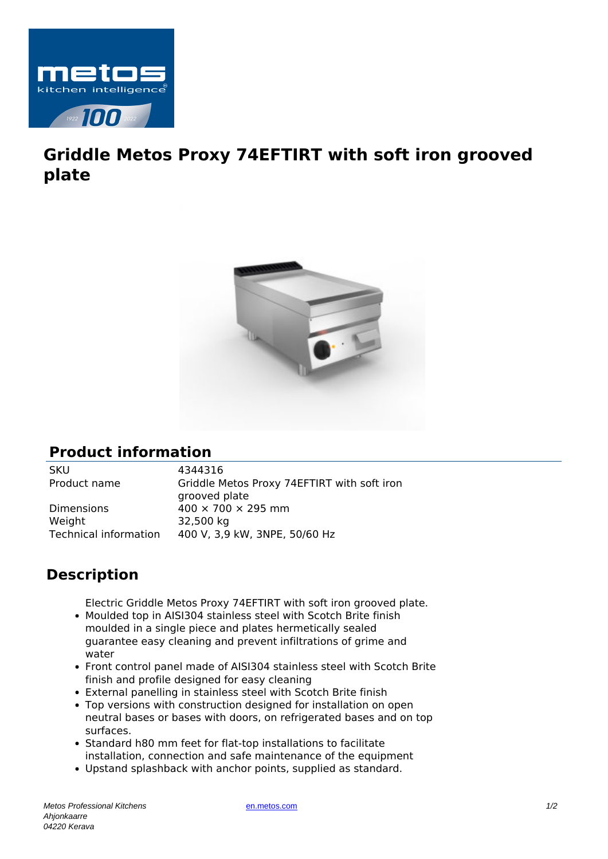

## **Griddle Metos Proxy 74EFTIRT with soft iron grooved plate**



## **Product information**

SKU 4344316

Product name Griddle Metos Proxy 74EFTIRT with soft iron grooved plate Dimensions  $400 \times 700 \times 295$  mm Weight 32,500 kg Technical information 400 V, 3,9 kW, 3NPE, 50/60 Hz

## **Description**

Electric Griddle Metos Proxy 74EFTIRT with soft iron grooved plate.

- Moulded top in AISI304 stainless steel with Scotch Brite finish moulded in a single piece and plates hermetically sealed guarantee easy cleaning and prevent infiltrations of grime and water
- Front control panel made of AISI304 stainless steel with Scotch Brite finish and profile designed for easy cleaning
- External panelling in stainless steel with Scotch Brite finish
- Top versions with construction designed for installation on open neutral bases or bases with doors, on refrigerated bases and on top surfaces.
- Standard h80 mm feet for flat-top installations to facilitate installation, connection and safe maintenance of the equipment
- Upstand splashback with anchor points, supplied as standard.